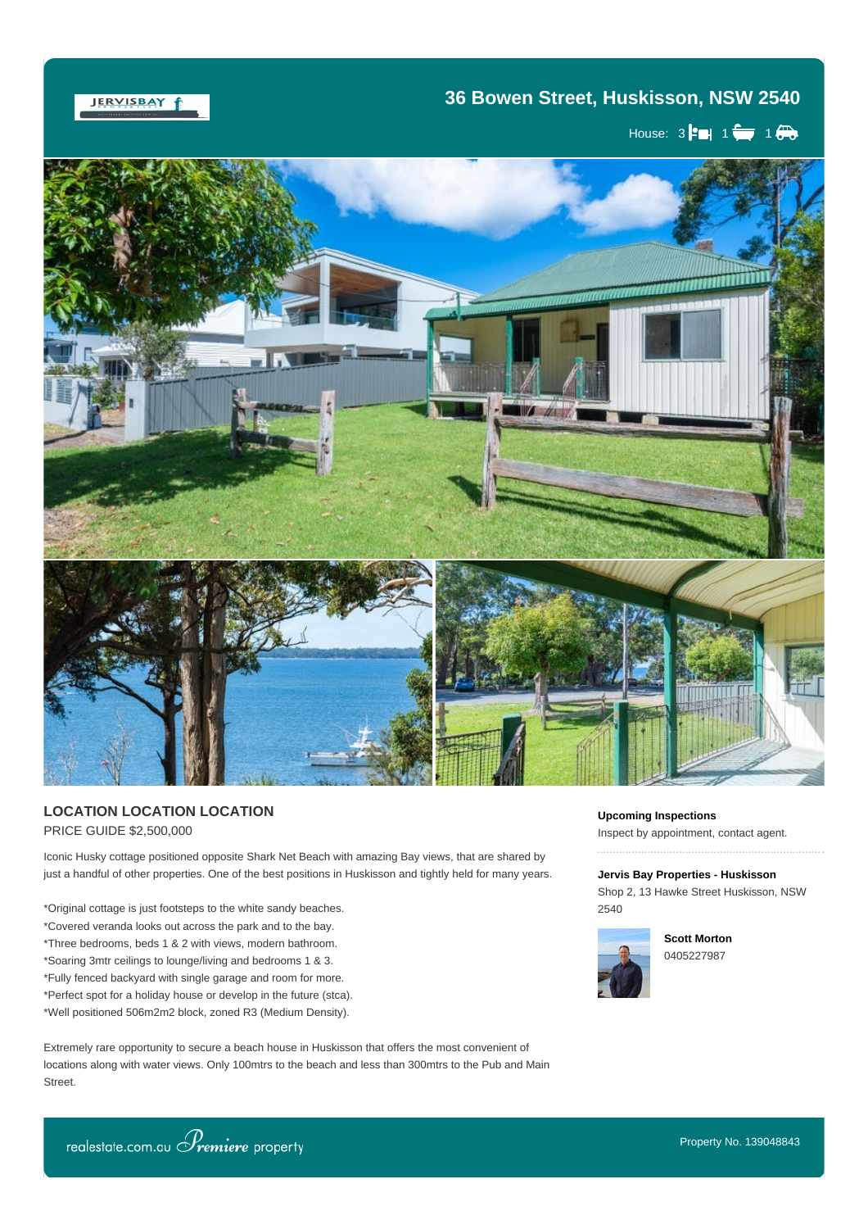JERVISBAY f

## **36 Bowen Street, Huskisson, NSW 2540**

House:  $3$   $\leftarrow$  1 $\leftarrow$  1 $\leftarrow$ 



## **LOCATION LOCATION LOCATION** PRICE GUIDE \$2,500,000

Iconic Husky cottage positioned opposite Shark Net Beach with amazing Bay views, that are shared by just a handful of other properties. One of the best positions in Huskisson and tightly held for many years.

\*Original cottage is just footsteps to the white sandy beaches. \*Covered veranda looks out across the park and to the bay. \*Three bedrooms, beds 1 & 2 with views, modern bathroom. \*Soaring 3mtr ceilings to lounge/living and bedrooms 1 & 3. \*Fully fenced backyard with single garage and room for more. \*Perfect spot for a holiday house or develop in the future (stca). \*Well positioned 506m2m2 block, zoned R3 (Medium Density).

Extremely rare opportunity to secure a beach house in Huskisson that offers the most convenient of locations along with water views. Only 100mtrs to the beach and less than 300mtrs to the Pub and Main Street.

All enguiries or to book a private inspection please contact  $S$  and  $\mathcal{S}$ 

**Upcoming Inspections**

Inspect by appointment, contact agent.

**Jervis Bay Properties - Huskisson** Shop 2, 13 Hawke Street Huskisson, NSW 2540



**Scott Morton** 0405227987